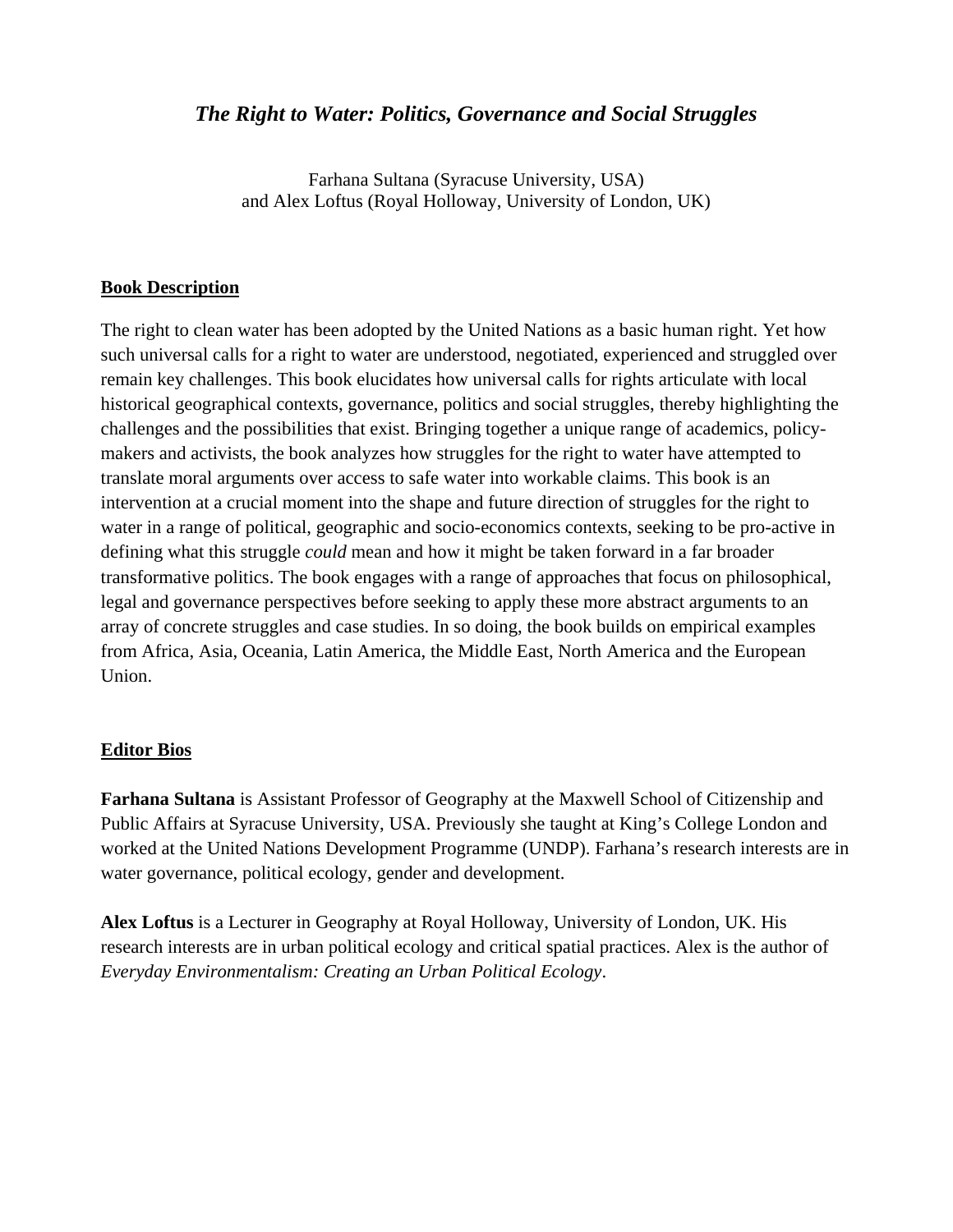## *The Right to Water: Politics, Governance and Social Struggles*

Farhana Sultana (Syracuse University, USA) and Alex Loftus (Royal Holloway, University of London, UK)

## **Book Description**

The right to clean water has been adopted by the United Nations as a basic human right. Yet how such universal calls for a right to water are understood, negotiated, experienced and struggled over remain key challenges. This book elucidates how universal calls for rights articulate with local historical geographical contexts, governance, politics and social struggles, thereby highlighting the challenges and the possibilities that exist. Bringing together a unique range of academics, policymakers and activists, the book analyzes how struggles for the right to water have attempted to translate moral arguments over access to safe water into workable claims. This book is an intervention at a crucial moment into the shape and future direction of struggles for the right to water in a range of political, geographic and socio-economics contexts, seeking to be pro-active in defining what this struggle *could* mean and how it might be taken forward in a far broader transformative politics. The book engages with a range of approaches that focus on philosophical, legal and governance perspectives before seeking to apply these more abstract arguments to an array of concrete struggles and case studies. In so doing, the book builds on empirical examples from Africa, Asia, Oceania, Latin America, the Middle East, North America and the European Union.

## **Editor Bios**

**Farhana Sultana** is Assistant Professor of Geography at the Maxwell School of Citizenship and Public Affairs at Syracuse University, USA. Previously she taught at King's College London and worked at the United Nations Development Programme (UNDP). Farhana's research interests are in water governance, political ecology, gender and development.

**Alex Loftus** is a Lecturer in Geography at Royal Holloway, University of London, UK. His research interests are in urban political ecology and critical spatial practices. Alex is the author of *Everyday Environmentalism: Creating an Urban Political Ecology*.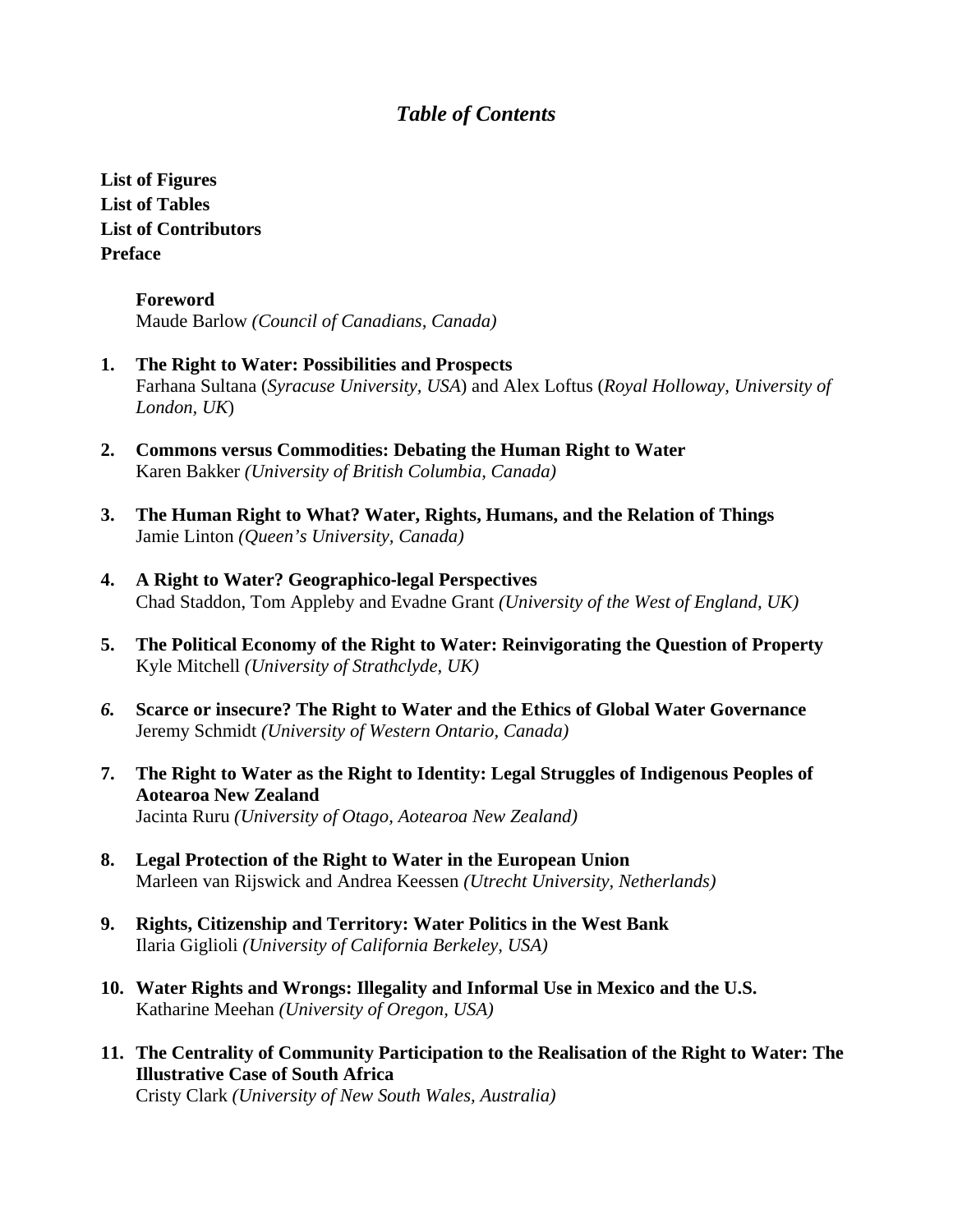## *Table of Contents*

**List of Figures List of Tables List of Contributors Preface** 

> **Foreword**  Maude Barlow *(Council of Canadians, Canada)*

- **1. The Right to Water: Possibilities and Prospects**  Farhana Sultana (*Syracuse University, USA*) and Alex Loftus (*Royal Holloway, University of London, UK*)
- **2. Commons versus Commodities: Debating the Human Right to Water**  Karen Bakker *(University of British Columbia, Canada)*
- **3. The Human Right to What? Water, Rights, Humans, and the Relation of Things**  Jamie Linton *(Queen's University, Canada)*
- **4. A Right to Water? Geographico‐legal Perspectives**  Chad Staddon, Tom Appleby and Evadne Grant *(University of the West of England, UK)*
- **5. The Political Economy of the Right to Water: Reinvigorating the Question of Property**  Kyle Mitchell *(University of Strathclyde, UK)*
- *6.* **Scarce or insecure? The Right to Water and the Ethics of Global Water Governance** Jeremy Schmidt *(University of Western Ontario, Canada)*
- **7. The Right to Water as the Right to Identity: Legal Struggles of Indigenous Peoples of Aotearoa New Zealand**  Jacinta Ruru *(University of Otago, Aotearoa New Zealand)*
- **8. Legal Protection of the Right to Water in the European Union**  Marleen van Rijswick and Andrea Keessen *(Utrecht University, Netherlands)*
- **9. Rights, Citizenship and Territory: Water Politics in the West Bank**  Ilaria Giglioli *(University of California Berkeley, USA)*
- **10. Water Rights and Wrongs: Illegality and Informal Use in Mexico and the U.S.**  Katharine Meehan *(University of Oregon, USA)*
- **11. The Centrality of Community Participation to the Realisation of the Right to Water: The Illustrative Case of South Africa**  Cristy Clark *(University of New South Wales, Australia)*